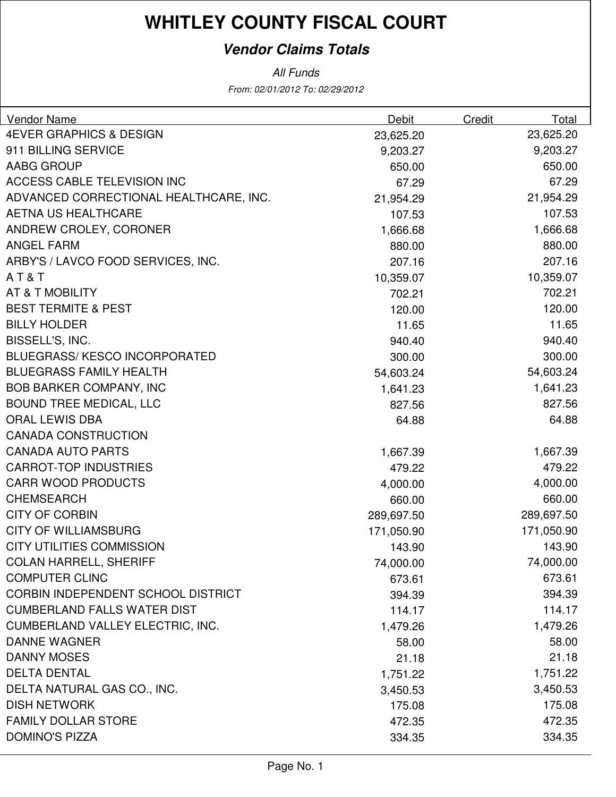#### **Vendor Claims Totals**

From: 02/01/2012 To: 02/29/2012 All Funds

| <b>Vendor Name</b>                      | Debit      | Credit | Total      |
|-----------------------------------------|------------|--------|------------|
| <b>4EVER GRAPHICS &amp; DESIGN</b>      | 23,625.20  |        | 23,625.20  |
| 911 BILLING SERVICE                     | 9,203.27   |        | 9,203.27   |
| AABG GROUP                              | 650.00     |        | 650.00     |
| <b>ACCESS CABLE TELEVISION INC</b>      | 67.29      |        | 67.29      |
| ADVANCED CORRECTIONAL HEALTHCARE, INC.  | 21,954.29  |        | 21,954.29  |
| <b>AETNA US HEALTHCARE</b>              | 107.53     |        | 107.53     |
| ANDREW CROLEY, CORONER                  | 1,666.68   |        | 1,666.68   |
| <b>ANGEL FARM</b>                       | 880.00     |        | 880.00     |
| ARBY'S / LAVCO FOOD SERVICES, INC.      | 207.16     |        | 207.16     |
| AT&T                                    | 10,359.07  |        | 10,359.07  |
| AT & T MOBILITY                         | 702.21     |        | 702.21     |
| <b>BEST TERMITE &amp; PEST</b>          | 120.00     |        | 120.00     |
| <b>BILLY HOLDER</b>                     | 11.65      |        | 11.65      |
| BISSELL'S, INC.                         | 940.40     |        | 940.40     |
| <b>BLUEGRASS/KESCO INCORPORATED</b>     | 300.00     |        | 300.00     |
| <b>BLUEGRASS FAMILY HEALTH</b>          | 54,603.24  |        | 54,603.24  |
| <b>BOB BARKER COMPANY, INC</b>          | 1,641.23   |        | 1,641.23   |
| <b>BOUND TREE MEDICAL, LLC</b>          | 827.56     |        | 827.56     |
| <b>ORAL LEWIS DBA</b>                   | 64.88      |        | 64.88      |
| <b>CANADA CONSTRUCTION</b>              |            |        |            |
| <b>CANADA AUTO PARTS</b>                | 1,667.39   |        | 1,667.39   |
| <b>CARROT-TOP INDUSTRIES</b>            | 479.22     |        | 479.22     |
| <b>CARR WOOD PRODUCTS</b>               | 4,000.00   |        | 4,000.00   |
| <b>CHEMSEARCH</b>                       | 660.00     |        | 660.00     |
| <b>CITY OF CORBIN</b>                   | 289,697.50 |        | 289,697.50 |
| <b>CITY OF WILLIAMSBURG</b>             | 171,050.90 |        | 171,050.90 |
| <b>CITY UTILITIES COMMISSION</b>        | 143.90     |        | 143.90     |
| <b>COLAN HARRELL, SHERIFF</b>           | 74,000.00  |        | 74,000.00  |
| <b>COMPUTER CLINC</b>                   | 673.61     |        | 673.61     |
| CORBIN INDEPENDENT SCHOOL DISTRICT      | 394.39     |        | 394.39     |
| <b>CUMBERLAND FALLS WATER DIST</b>      | 114.17     |        | 114.17     |
| <b>CUMBERLAND VALLEY ELECTRIC, INC.</b> | 1,479.26   |        | 1,479.26   |
| <b>DANNE WAGNER</b>                     | 58.00      |        | 58.00      |
| <b>DANNY MOSES</b>                      | 21.18      |        | 21.18      |
| <b>DELTA DENTAL</b>                     | 1,751.22   |        | 1,751.22   |
| DELTA NATURAL GAS CO., INC.             | 3,450.53   |        | 3,450.53   |
| <b>DISH NETWORK</b>                     | 175.08     |        | 175.08     |
| <b>FAMILY DOLLAR STORE</b>              | 472.35     |        | 472.35     |
| <b>DOMINO'S PIZZA</b>                   | 334.35     |        | 334.35     |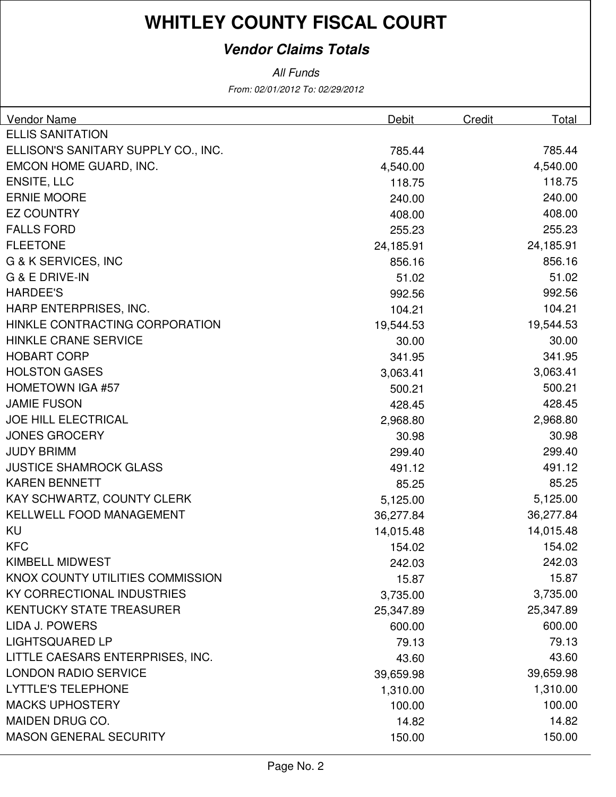#### **Vendor Claims Totals**

All Funds

From: 02/01/2012 To: 02/29/2012

| Vendor Name                         | Debit     | Credit | Total     |
|-------------------------------------|-----------|--------|-----------|
| <b>ELLIS SANITATION</b>             |           |        |           |
| ELLISON'S SANITARY SUPPLY CO., INC. | 785.44    |        | 785.44    |
| EMCON HOME GUARD, INC.              | 4,540.00  |        | 4,540.00  |
| <b>ENSITE, LLC</b>                  | 118.75    |        | 118.75    |
| <b>ERNIE MOORE</b>                  | 240.00    |        | 240.00    |
| <b>EZ COUNTRY</b>                   | 408.00    |        | 408.00    |
| <b>FALLS FORD</b>                   | 255.23    |        | 255.23    |
| <b>FLEETONE</b>                     | 24,185.91 |        | 24,185.91 |
| G & K SERVICES, INC                 | 856.16    |        | 856.16    |
| G & E DRIVE-IN                      | 51.02     |        | 51.02     |
| <b>HARDEE'S</b>                     | 992.56    |        | 992.56    |
| HARP ENTERPRISES, INC.              | 104.21    |        | 104.21    |
| HINKLE CONTRACTING CORPORATION      | 19,544.53 |        | 19,544.53 |
| <b>HINKLE CRANE SERVICE</b>         | 30.00     |        | 30.00     |
| <b>HOBART CORP</b>                  | 341.95    |        | 341.95    |
| <b>HOLSTON GASES</b>                | 3,063.41  |        | 3,063.41  |
| <b>HOMETOWN IGA #57</b>             | 500.21    |        | 500.21    |
| <b>JAMIE FUSON</b>                  | 428.45    |        | 428.45    |
| <b>JOE HILL ELECTRICAL</b>          | 2,968.80  |        | 2,968.80  |
| <b>JONES GROCERY</b>                | 30.98     |        | 30.98     |
| <b>JUDY BRIMM</b>                   | 299.40    |        | 299.40    |
| <b>JUSTICE SHAMROCK GLASS</b>       | 491.12    |        | 491.12    |
| <b>KAREN BENNETT</b>                | 85.25     |        | 85.25     |
| KAY SCHWARTZ, COUNTY CLERK          | 5,125.00  |        | 5,125.00  |
| KELLWELL FOOD MANAGEMENT            | 36,277.84 |        | 36,277.84 |
| KU                                  | 14,015.48 |        | 14,015.48 |
| <b>KFC</b>                          | 154.02    |        | 154.02    |
| <b>KIMBELL MIDWEST</b>              | 242.03    |        | 242.03    |
| KNOX COUNTY UTILITIES COMMISSION    | 15.87     |        | 15.87     |
| <b>KY CORRECTIONAL INDUSTRIES</b>   | 3,735.00  |        | 3,735.00  |
| <b>KENTUCKY STATE TREASURER</b>     | 25,347.89 |        | 25,347.89 |
| LIDA J. POWERS                      | 600.00    |        | 600.00    |
| <b>LIGHTSQUARED LP</b>              | 79.13     |        | 79.13     |
| LITTLE CAESARS ENTERPRISES, INC.    | 43.60     |        | 43.60     |
| <b>LONDON RADIO SERVICE</b>         | 39,659.98 |        | 39,659.98 |
| <b>LYTTLE'S TELEPHONE</b>           | 1,310.00  |        | 1,310.00  |
| <b>MACKS UPHOSTERY</b>              | 100.00    |        | 100.00    |
| <b>MAIDEN DRUG CO.</b>              | 14.82     |        | 14.82     |
| <b>MASON GENERAL SECURITY</b>       | 150.00    |        | 150.00    |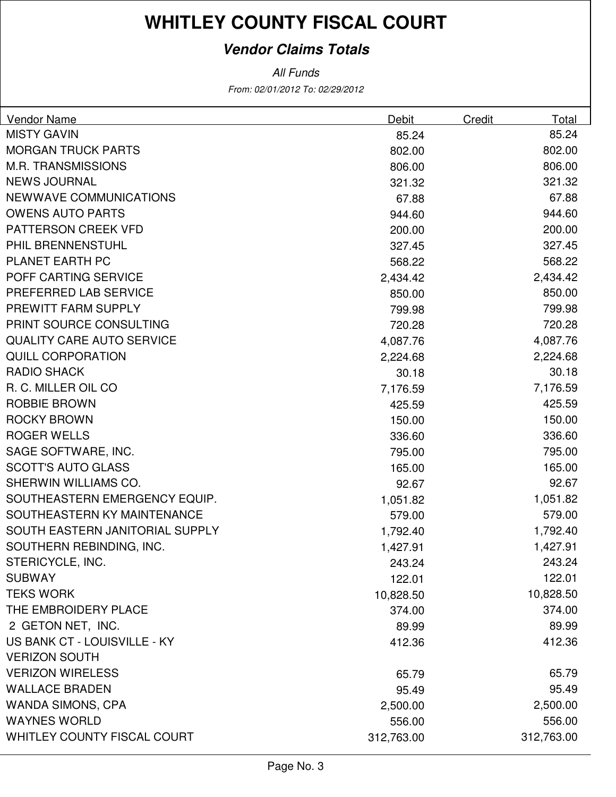#### **Vendor Claims Totals**

From: 02/01/2012 To: 02/29/2012 All Funds

| Vendor Name                      | Debit      | Credit | Total      |
|----------------------------------|------------|--------|------------|
| <b>MISTY GAVIN</b>               | 85.24      |        | 85.24      |
| <b>MORGAN TRUCK PARTS</b>        | 802.00     |        | 802.00     |
| <b>M.R. TRANSMISSIONS</b>        | 806.00     |        | 806.00     |
| <b>NEWS JOURNAL</b>              | 321.32     |        | 321.32     |
| NEWWAVE COMMUNICATIONS           | 67.88      |        | 67.88      |
| <b>OWENS AUTO PARTS</b>          | 944.60     |        | 944.60     |
| PATTERSON CREEK VFD              | 200.00     |        | 200.00     |
| PHIL BRENNENSTUHL                | 327.45     |        | 327.45     |
| <b>PLANET EARTH PC</b>           | 568.22     |        | 568.22     |
| POFF CARTING SERVICE             | 2,434.42   |        | 2,434.42   |
| PREFERRED LAB SERVICE            | 850.00     |        | 850.00     |
| PREWITT FARM SUPPLY              | 799.98     |        | 799.98     |
| PRINT SOURCE CONSULTING          | 720.28     |        | 720.28     |
| <b>QUALITY CARE AUTO SERVICE</b> | 4,087.76   |        | 4,087.76   |
| <b>QUILL CORPORATION</b>         | 2,224.68   |        | 2,224.68   |
| <b>RADIO SHACK</b>               | 30.18      |        | 30.18      |
| R. C. MILLER OIL CO.             | 7,176.59   |        | 7,176.59   |
| <b>ROBBIE BROWN</b>              | 425.59     |        | 425.59     |
| <b>ROCKY BROWN</b>               | 150.00     |        | 150.00     |
| <b>ROGER WELLS</b>               | 336.60     |        | 336.60     |
| SAGE SOFTWARE, INC.              | 795.00     |        | 795.00     |
| <b>SCOTT'S AUTO GLASS</b>        | 165.00     |        | 165.00     |
| SHERWIN WILLIAMS CO.             | 92.67      |        | 92.67      |
| SOUTHEASTERN EMERGENCY EQUIP.    | 1,051.82   |        | 1,051.82   |
| SOUTHEASTERN KY MAINTENANCE      | 579.00     |        | 579.00     |
| SOUTH EASTERN JANITORIAL SUPPLY  | 1,792.40   |        | 1,792.40   |
| SOUTHERN REBINDING, INC.         | 1,427.91   |        | 1,427.91   |
| STERICYCLE, INC.                 | 243.24     |        | 243.24     |
| <b>SUBWAY</b>                    | 122.01     |        | 122.01     |
| <b>TEKS WORK</b>                 | 10,828.50  |        | 10,828.50  |
| THE EMBROIDERY PLACE             | 374.00     |        | 374.00     |
| 2 GETON NET, INC.                | 89.99      |        | 89.99      |
| US BANK CT - LOUISVILLE - KY     | 412.36     |        | 412.36     |
| <b>VERIZON SOUTH</b>             |            |        |            |
| <b>VERIZON WIRELESS</b>          | 65.79      |        | 65.79      |
| <b>WALLACE BRADEN</b>            | 95.49      |        | 95.49      |
| <b>WANDA SIMONS, CPA</b>         | 2,500.00   |        | 2,500.00   |
| <b>WAYNES WORLD</b>              | 556.00     |        | 556.00     |
| WHITLEY COUNTY FISCAL COURT      | 312,763.00 |        | 312,763.00 |
|                                  |            |        |            |